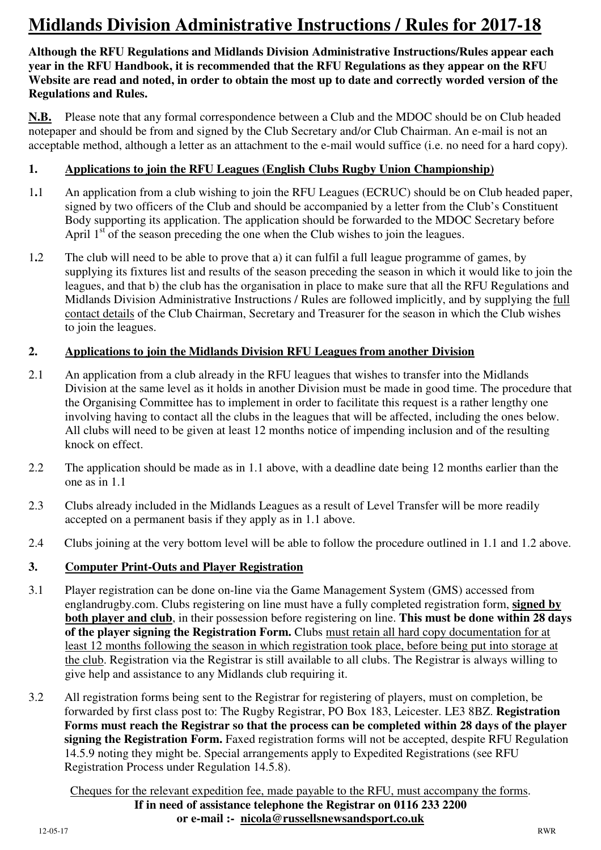# **Midlands Division Administrative Instructions / Rules for 2017-18**

**Although the RFU Regulations and Midlands Division Administrative Instructions/Rules appear each year in the RFU Handbook, it is recommended that the RFU Regulations as they appear on the RFU Website are read and noted, in order to obtain the most up to date and correctly worded version of the Regulations and Rules.** 

**N.B.** Please note that any formal correspondence between a Club and the MDOC should be on Club headed notepaper and should be from and signed by the Club Secretary and/or Club Chairman. An e-mail is not an acceptable method, although a letter as an attachment to the e-mail would suffice (i.e. no need for a hard copy).

# **1. Applications to join the RFU Leagues (English Clubs Rugby Union Championship)**

- 1**.**1 An application from a club wishing to join the RFU Leagues (ECRUC) should be on Club headed paper, signed by two officers of the Club and should be accompanied by a letter from the Club's Constituent Body supporting its application. The application should be forwarded to the MDOC Secretary before April  $1<sup>st</sup>$  of the season preceding the one when the Club wishes to join the leagues.
- 1**.**2 The club will need to be able to prove that a) it can fulfil a full league programme of games, by supplying its fixtures list and results of the season preceding the season in which it would like to join the leagues, and that b) the club has the organisation in place to make sure that all the RFU Regulations and Midlands Division Administrative Instructions / Rules are followed implicitly, and by supplying the full contact details of the Club Chairman, Secretary and Treasurer for the season in which the Club wishes to join the leagues.

# **2. Applications to join the Midlands Division RFU Leagues from another Division**

- 2.1 An application from a club already in the RFU leagues that wishes to transfer into the Midlands Division at the same level as it holds in another Division must be made in good time. The procedure that the Organising Committee has to implement in order to facilitate this request is a rather lengthy one involving having to contact all the clubs in the leagues that will be affected, including the ones below. All clubs will need to be given at least 12 months notice of impending inclusion and of the resulting knock on effect.
- 2.2 The application should be made as in 1.1 above, with a deadline date being 12 months earlier than the one as in 1.1
- 2.3 Clubs already included in the Midlands Leagues as a result of Level Transfer will be more readily accepted on a permanent basis if they apply as in 1.1 above.
- 2.4 Clubs joining at the very bottom level will be able to follow the procedure outlined in 1.1 and 1.2 above.

# **3. Computer Print-Outs and Player Registration**

- 3.1 Player registration can be done on-line via the Game Management System (GMS) accessed from englandrugby.com. Clubs registering on line must have a fully completed registration form, **signed by both player and club**, in their possession before registering on line. **This must be done within 28 days of the player signing the Registration Form.** Clubs must retain all hard copy documentation for at least 12 months following the season in which registration took place, before being put into storage at the club. Registration via the Registrar is still available to all clubs. The Registrar is always willing to give help and assistance to any Midlands club requiring it.
- 3.2 All registration forms being sent to the Registrar for registering of players, must on completion, be forwarded by first class post to: The Rugby Registrar, PO Box 183, Leicester. LE3 8BZ. **Registration Forms must reach the Registrar so that the process can be completed within 28 days of the player signing the Registration Form.** Faxed registration forms will not be accepted, despite RFU Regulation 14.5.9 noting they might be. Special arrangements apply to Expedited Registrations (see RFU Registration Process under Regulation 14.5.8).

Cheques for the relevant expedition fee, made payable to the RFU, must accompany the forms. **If in need of assistance telephone the Registrar on 0116 233 2200 or e-mail :- nicola@russellsnewsandsport.co.uk**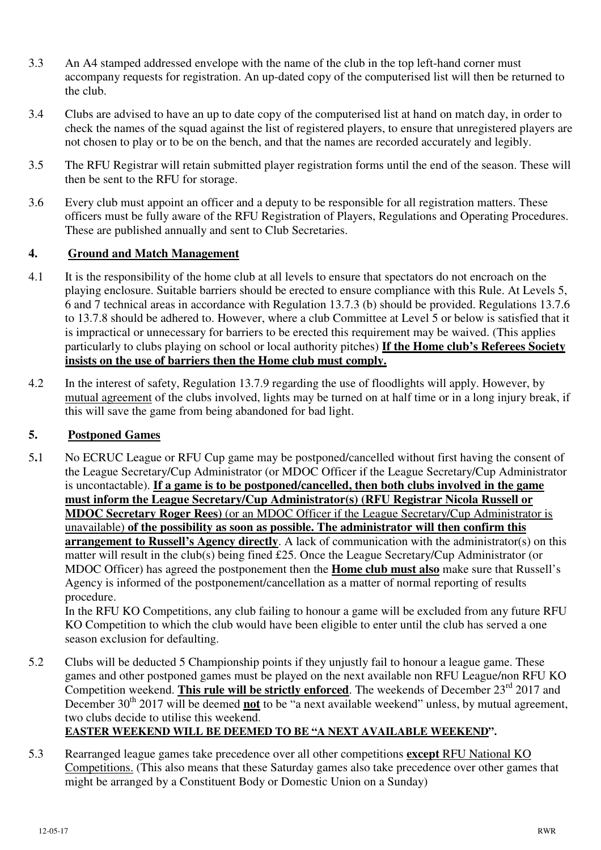- 3.3 An A4 stamped addressed envelope with the name of the club in the top left-hand corner must accompany requests for registration. An up-dated copy of the computerised list will then be returned to the club.
- 3.4 Clubs are advised to have an up to date copy of the computerised list at hand on match day, in order to check the names of the squad against the list of registered players, to ensure that unregistered players are not chosen to play or to be on the bench, and that the names are recorded accurately and legibly.
- 3.5 The RFU Registrar will retain submitted player registration forms until the end of the season. These will then be sent to the RFU for storage.
- 3.6 Every club must appoint an officer and a deputy to be responsible for all registration matters. These officers must be fully aware of the RFU Registration of Players, Regulations and Operating Procedures. These are published annually and sent to Club Secretaries.

# **4. Ground and Match Management**

- 4.1 It is the responsibility of the home club at all levels to ensure that spectators do not encroach on the playing enclosure. Suitable barriers should be erected to ensure compliance with this Rule. At Levels 5, 6 and 7 technical areas in accordance with Regulation 13.7.3 (b) should be provided. Regulations 13.7.6 to 13.7.8 should be adhered to. However, where a club Committee at Level 5 or below is satisfied that it is impractical or unnecessary for barriers to be erected this requirement may be waived. (This applies particularly to clubs playing on school or local authority pitches) **If the Home club's Referees Society insists on the use of barriers then the Home club must comply.**
- 4.2 In the interest of safety, Regulation 13.7.9 regarding the use of floodlights will apply. However, by mutual agreement of the clubs involved, lights may be turned on at half time or in a long injury break, if this will save the game from being abandoned for bad light.

#### **5. Postponed Games**

5**.**1 No ECRUC League or RFU Cup game may be postponed/cancelled without first having the consent of the League Secretary/Cup Administrator (or MDOC Officer if the League Secretary/Cup Administrator is uncontactable). **If a game is to be postponed/cancelled, then both clubs involved in the game must inform the League Secretary/Cup Administrator(s) (RFU Registrar Nicola Russell or MDOC Secretary Roger Rees)** (or an MDOC Officer if the League Secretary/Cup Administrator is unavailable) **of the possibility as soon as possible. The administrator will then confirm this arrangement to Russell's Agency directly**. A lack of communication with the administrator(s) on this matter will result in the club(s) being fined £25. Once the League Secretary/Cup Administrator (or MDOC Officer) has agreed the postponement then the **Home club must also** make sure that Russell's Agency is informed of the postponement/cancellation as a matter of normal reporting of results procedure.

In the RFU KO Competitions, any club failing to honour a game will be excluded from any future RFU KO Competition to which the club would have been eligible to enter until the club has served a one season exclusion for defaulting.

5.2 Clubs will be deducted 5 Championship points if they unjustly fail to honour a league game. These games and other postponed games must be played on the next available non RFU League/non RFU KO Competition weekend. **This rule will be strictly enforced**. The weekends of December 23<sup>rd</sup> 2017 and December 30<sup>th</sup> 2017 will be deemed **not** to be "a next available weekend" unless, by mutual agreement, two clubs decide to utilise this weekend.

# **EASTER WEEKEND WILL BE DEEMED TO BE "A NEXT AVAILABLE WEEKEND".**

5.3 Rearranged league games take precedence over all other competitions **except** RFU National KO Competitions. (This also means that these Saturday games also take precedence over other games that might be arranged by a Constituent Body or Domestic Union on a Sunday)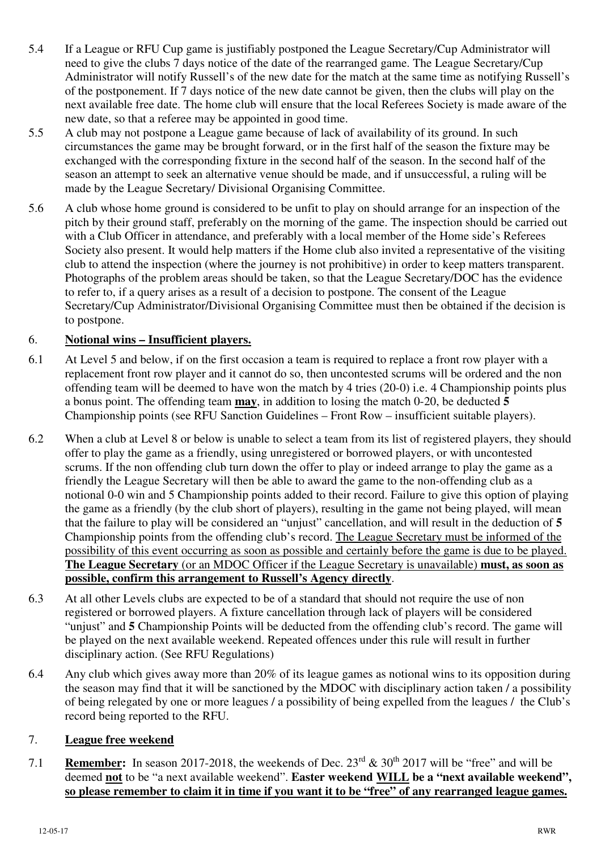- 5.4 If a League or RFU Cup game is justifiably postponed the League Secretary/Cup Administrator will need to give the clubs 7 days notice of the date of the rearranged game. The League Secretary/Cup Administrator will notify Russell's of the new date for the match at the same time as notifying Russell's of the postponement. If 7 days notice of the new date cannot be given, then the clubs will play on the next available free date. The home club will ensure that the local Referees Society is made aware of the new date, so that a referee may be appointed in good time.
- 5.5 A club may not postpone a League game because of lack of availability of its ground. In such circumstances the game may be brought forward, or in the first half of the season the fixture may be exchanged with the corresponding fixture in the second half of the season. In the second half of the season an attempt to seek an alternative venue should be made, and if unsuccessful, a ruling will be made by the League Secretary/ Divisional Organising Committee.
- 5.6 A club whose home ground is considered to be unfit to play on should arrange for an inspection of the pitch by their ground staff, preferably on the morning of the game. The inspection should be carried out with a Club Officer in attendance, and preferably with a local member of the Home side's Referees Society also present. It would help matters if the Home club also invited a representative of the visiting club to attend the inspection (where the journey is not prohibitive) in order to keep matters transparent. Photographs of the problem areas should be taken, so that the League Secretary/DOC has the evidence to refer to, if a query arises as a result of a decision to postpone. The consent of the League Secretary/Cup Administrator/Divisional Organising Committee must then be obtained if the decision is to postpone.

#### 6. **Notional wins – Insufficient players.**

- 6.1 At Level 5 and below, if on the first occasion a team is required to replace a front row player with a replacement front row player and it cannot do so, then uncontested scrums will be ordered and the non offending team will be deemed to have won the match by 4 tries (20-0) i.e. 4 Championship points plus a bonus point. The offending team **may**, in addition to losing the match 0-20, be deducted **5**  Championship points (see RFU Sanction Guidelines – Front Row – insufficient suitable players).
- 6.2 When a club at Level 8 or below is unable to select a team from its list of registered players, they should offer to play the game as a friendly, using unregistered or borrowed players, or with uncontested scrums. If the non offending club turn down the offer to play or indeed arrange to play the game as a friendly the League Secretary will then be able to award the game to the non-offending club as a notional 0-0 win and 5 Championship points added to their record. Failure to give this option of playing the game as a friendly (by the club short of players), resulting in the game not being played, will mean that the failure to play will be considered an "unjust" cancellation, and will result in the deduction of **5** Championship points from the offending club's record. The League Secretary must be informed of the possibility of this event occurring as soon as possible and certainly before the game is due to be played. **The League Secretary** (or an MDOC Officer if the League Secretary is unavailable) **must, as soon as possible, confirm this arrangement to Russell's Agency directly**.
- 6.3 At all other Levels clubs are expected to be of a standard that should not require the use of non registered or borrowed players. A fixture cancellation through lack of players will be considered "unjust" and **5** Championship Points will be deducted from the offending club's record. The game will be played on the next available weekend. Repeated offences under this rule will result in further disciplinary action. (See RFU Regulations)
- 6.4 Any club which gives away more than 20% of its league games as notional wins to its opposition during the season may find that it will be sanctioned by the MDOC with disciplinary action taken / a possibility of being relegated by one or more leagues / a possibility of being expelled from the leagues / the Club's record being reported to the RFU.

#### 7. **League free weekend**

7.1 **Remember:** In season 2017-2018, the weekends of Dec.  $23^{rd} \& 30^{th}$  2017 will be "free" and will be deemed **not** to be "a next available weekend". **Easter weekend WILL be a "next available weekend", so please remember to claim it in time if you want it to be "free" of any rearranged league games.**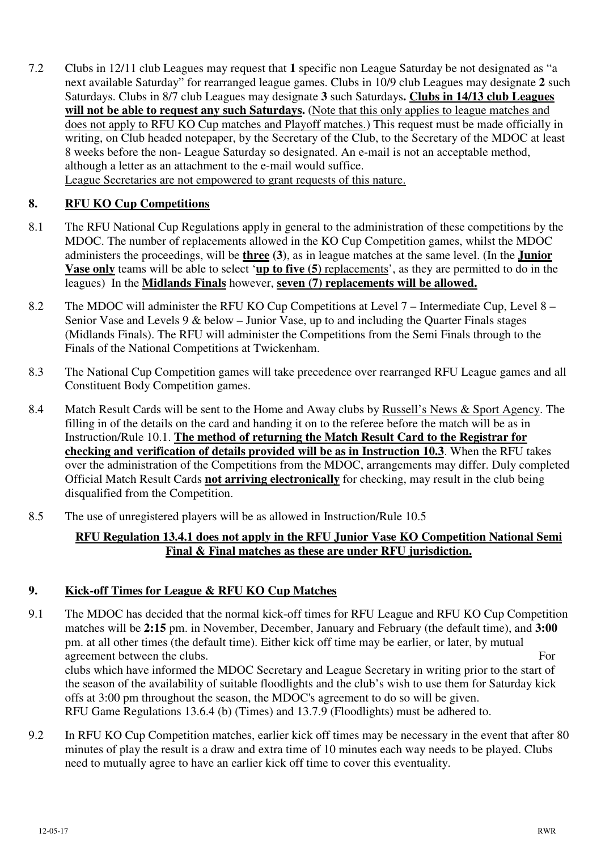7.2 Clubs in 12/11 club Leagues may request that **1** specific non League Saturday be not designated as "a next available Saturday" for rearranged league games. Clubs in 10/9 club Leagues may designate **2** such Saturdays. Clubs in 8/7 club Leagues may designate **3** such Saturdays**. Clubs in 14/13 club Leagues will not be able to request any such Saturdays.** (Note that this only applies to league matches and does not apply to RFU KO Cup matches and Playoff matches.) This request must be made officially in writing, on Club headed notepaper, by the Secretary of the Club, to the Secretary of the MDOC at least 8 weeks before the non- League Saturday so designated. An e-mail is not an acceptable method, although a letter as an attachment to the e-mail would suffice. League Secretaries are not empowered to grant requests of this nature.

## **8. RFU KO Cup Competitions**

- 8.1 The RFU National Cup Regulations apply in general to the administration of these competitions by the MDOC. The number of replacements allowed in the KO Cup Competition games, whilst the MDOC administers the proceedings, will be **three (3)**, as in league matches at the same level. (In the **Junior Vase only** teams will be able to select '**up to five (5)** replacements', as they are permitted to do in the leagues) In the **Midlands Finals** however, **seven (7) replacements will be allowed.**
- 8.2 The MDOC will administer the RFU KO Cup Competitions at Level 7 Intermediate Cup, Level 8 Senior Vase and Levels 9 & below – Junior Vase, up to and including the Quarter Finals stages (Midlands Finals). The RFU will administer the Competitions from the Semi Finals through to the Finals of the National Competitions at Twickenham.
- 8.3 The National Cup Competition games will take precedence over rearranged RFU League games and all Constituent Body Competition games.
- 8.4 Match Result Cards will be sent to the Home and Away clubs by Russell's News & Sport Agency. The filling in of the details on the card and handing it on to the referee before the match will be as in Instruction/Rule 10.1. **The method of returning the Match Result Card to the Registrar for checking and verification of details provided will be as in Instruction 10.3**. When the RFU takes over the administration of the Competitions from the MDOC, arrangements may differ. Duly completed Official Match Result Cards **not arriving electronically** for checking, may result in the club being disqualified from the Competition.
- 8.5 The use of unregistered players will be as allowed in Instruction/Rule 10.5

#### **RFU Regulation 13.4.1 does not apply in the RFU Junior Vase KO Competition National Semi Final & Final matches as these are under RFU jurisdiction.**

#### **9. Kick-off Times for League & RFU KO Cup Matches**

- 9.1 The MDOC has decided that the normal kick-off times for RFU League and RFU KO Cup Competition matches will be **2:15** pm. in November, December, January and February (the default time), and **3:00** pm. at all other times (the default time). Either kick off time may be earlier, or later, by mutual agreement between the clubs. For clubs which have informed the MDOC Secretary and League Secretary in writing prior to the start of the season of the availability of suitable floodlights and the club's wish to use them for Saturday kick offs at 3:00 pm throughout the season, the MDOC's agreement to do so will be given. RFU Game Regulations 13.6.4 (b) (Times) and 13.7.9 (Floodlights) must be adhered to.
- 9.2 In RFU KO Cup Competition matches, earlier kick off times may be necessary in the event that after 80 minutes of play the result is a draw and extra time of 10 minutes each way needs to be played. Clubs need to mutually agree to have an earlier kick off time to cover this eventuality.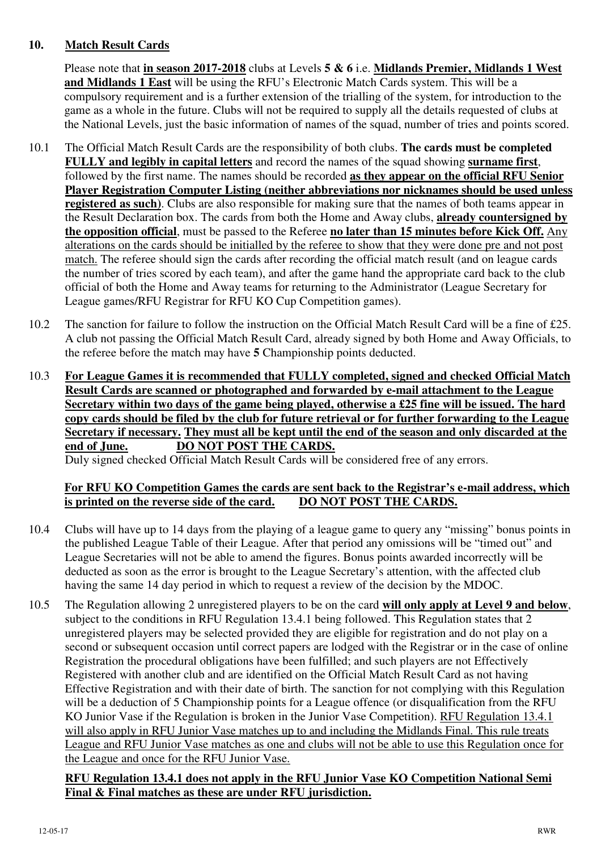#### **10. Match Result Cards**

Please note that **in season 2017-2018** clubs at Levels **5 & 6** i.e. **Midlands Premier, Midlands 1 West and Midlands 1 East** will be using the RFU's Electronic Match Cards system. This will be a compulsory requirement and is a further extension of the trialling of the system, for introduction to the game as a whole in the future. Clubs will not be required to supply all the details requested of clubs at the National Levels, just the basic information of names of the squad, number of tries and points scored.

- 10.1 The Official Match Result Cards are the responsibility of both clubs. **The cards must be completed FULLY and legibly in capital letters** and record the names of the squad showing **surname first**, followed by the first name. The names should be recorded **as they appear on the official RFU Senior Player Registration Computer Listing (neither abbreviations nor nicknames should be used unless registered as such)**. Clubs are also responsible for making sure that the names of both teams appear in the Result Declaration box. The cards from both the Home and Away clubs, **already countersigned by the opposition official**, must be passed to the Referee **no later than 15 minutes before Kick Off.** Any alterations on the cards should be initialled by the referee to show that they were done pre and not post match. The referee should sign the cards after recording the official match result (and on league cards the number of tries scored by each team), and after the game hand the appropriate card back to the club official of both the Home and Away teams for returning to the Administrator (League Secretary for League games/RFU Registrar for RFU KO Cup Competition games).
- 10.2 The sanction for failure to follow the instruction on the Official Match Result Card will be a fine of £25. A club not passing the Official Match Result Card, already signed by both Home and Away Officials, to the referee before the match may have **5** Championship points deducted.
- 10.3 **For League Games it is recommended that FULLY completed, signed and checked Official Match Result Cards are scanned or photographed and forwarded by e-mail attachment to the League Secretary within two days of the game being played, otherwise a £25 fine will be issued. The hard copy cards should be filed by the club for future retrieval or for further forwarding to the League Secretary if necessary. They must all be kept until the end of the season and only discarded at the end of June. DO NOT POST THE CARDS.**

Duly signed checked Official Match Result Cards will be considered free of any errors.

#### **For RFU KO Competition Games the cards are sent back to the Registrar's e-mail address, which is printed on the reverse side of the card. DO NOT POST THE CARDS.**

- 10.4 Clubs will have up to 14 days from the playing of a league game to query any "missing" bonus points in the published League Table of their League. After that period any omissions will be "timed out" and League Secretaries will not be able to amend the figures. Bonus points awarded incorrectly will be deducted as soon as the error is brought to the League Secretary's attention, with the affected club having the same 14 day period in which to request a review of the decision by the MDOC.
- 10.5 The Regulation allowing 2 unregistered players to be on the card **will only apply at Level 9 and below**, subject to the conditions in RFU Regulation 13.4.1 being followed. This Regulation states that 2 unregistered players may be selected provided they are eligible for registration and do not play on a second or subsequent occasion until correct papers are lodged with the Registrar or in the case of online Registration the procedural obligations have been fulfilled; and such players are not Effectively Registered with another club and are identified on the Official Match Result Card as not having Effective Registration and with their date of birth. The sanction for not complying with this Regulation will be a deduction of 5 Championship points for a League offence (or disqualification from the RFU KO Junior Vase if the Regulation is broken in the Junior Vase Competition). RFU Regulation 13.4.1 will also apply in RFU Junior Vase matches up to and including the Midlands Final. This rule treats League and RFU Junior Vase matches as one and clubs will not be able to use this Regulation once for the League and once for the RFU Junior Vase.

#### **RFU Regulation 13.4.1 does not apply in the RFU Junior Vase KO Competition National Semi Final & Final matches as these are under RFU jurisdiction.**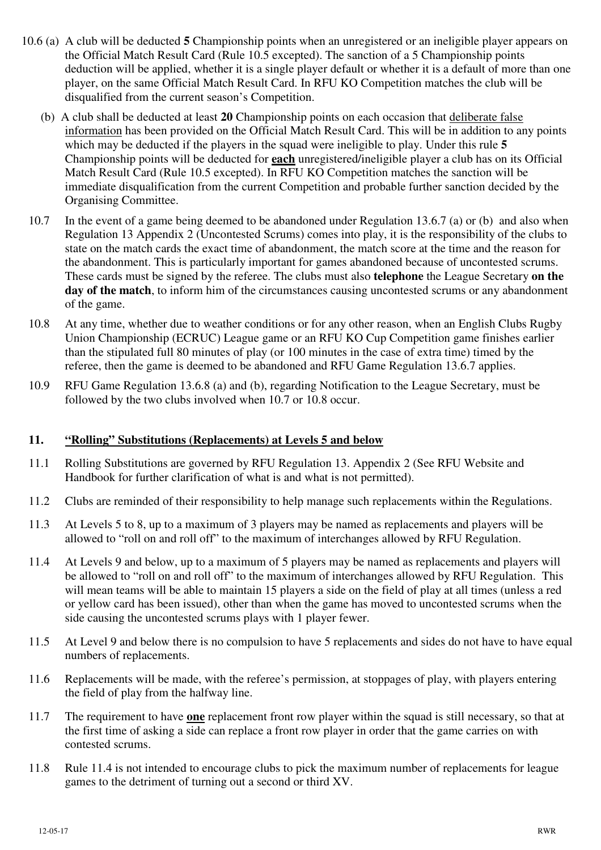- 10.6 (a) A club will be deducted **5** Championship points when an unregistered or an ineligible player appears on the Official Match Result Card (Rule 10.5 excepted). The sanction of a 5 Championship points deduction will be applied, whether it is a single player default or whether it is a default of more than one player, on the same Official Match Result Card. In RFU KO Competition matches the club will be disqualified from the current season's Competition.
	- (b) A club shall be deducted at least **20** Championship points on each occasion that deliberate false information has been provided on the Official Match Result Card. This will be in addition to any points which may be deducted if the players in the squad were ineligible to play. Under this rule 5 Championship points will be deducted for **each** unregistered/ineligible player a club has on its Official Match Result Card (Rule 10.5 excepted). In RFU KO Competition matches the sanction will be immediate disqualification from the current Competition and probable further sanction decided by the Organising Committee.
	- 10.7 In the event of a game being deemed to be abandoned under Regulation 13.6.7 (a) or (b) and also when Regulation 13 Appendix 2 (Uncontested Scrums) comes into play, it is the responsibility of the clubs to state on the match cards the exact time of abandonment, the match score at the time and the reason for the abandonment. This is particularly important for games abandoned because of uncontested scrums. These cards must be signed by the referee. The clubs must also **telephone** the League Secretary **on the day of the match**, to inform him of the circumstances causing uncontested scrums or any abandonment of the game.
	- 10.8 At any time, whether due to weather conditions or for any other reason, when an English Clubs Rugby Union Championship (ECRUC) League game or an RFU KO Cup Competition game finishes earlier than the stipulated full 80 minutes of play (or 100 minutes in the case of extra time) timed by the referee, then the game is deemed to be abandoned and RFU Game Regulation 13.6.7 applies.
	- 10.9 RFU Game Regulation 13.6.8 (a) and (b), regarding Notification to the League Secretary, must be followed by the two clubs involved when 10.7 or 10.8 occur.

#### **11. "Rolling" Substitutions (Replacements) at Levels 5 and below**

- 11.1 Rolling Substitutions are governed by RFU Regulation 13. Appendix 2 (See RFU Website and Handbook for further clarification of what is and what is not permitted).
- 11.2 Clubs are reminded of their responsibility to help manage such replacements within the Regulations.
- 11.3 At Levels 5 to 8, up to a maximum of 3 players may be named as replacements and players will be allowed to "roll on and roll off" to the maximum of interchanges allowed by RFU Regulation.
- 11.4 At Levels 9 and below, up to a maximum of 5 players may be named as replacements and players will be allowed to "roll on and roll off" to the maximum of interchanges allowed by RFU Regulation. This will mean teams will be able to maintain 15 players a side on the field of play at all times (unless a red or yellow card has been issued), other than when the game has moved to uncontested scrums when the side causing the uncontested scrums plays with 1 player fewer.
- 11.5 At Level 9 and below there is no compulsion to have 5 replacements and sides do not have to have equal numbers of replacements.
- 11.6 Replacements will be made, with the referee's permission, at stoppages of play, with players entering the field of play from the halfway line.
- 11.7 The requirement to have **one** replacement front row player within the squad is still necessary, so that at the first time of asking a side can replace a front row player in order that the game carries on with contested scrums.
- 11.8 Rule 11.4 is not intended to encourage clubs to pick the maximum number of replacements for league games to the detriment of turning out a second or third XV.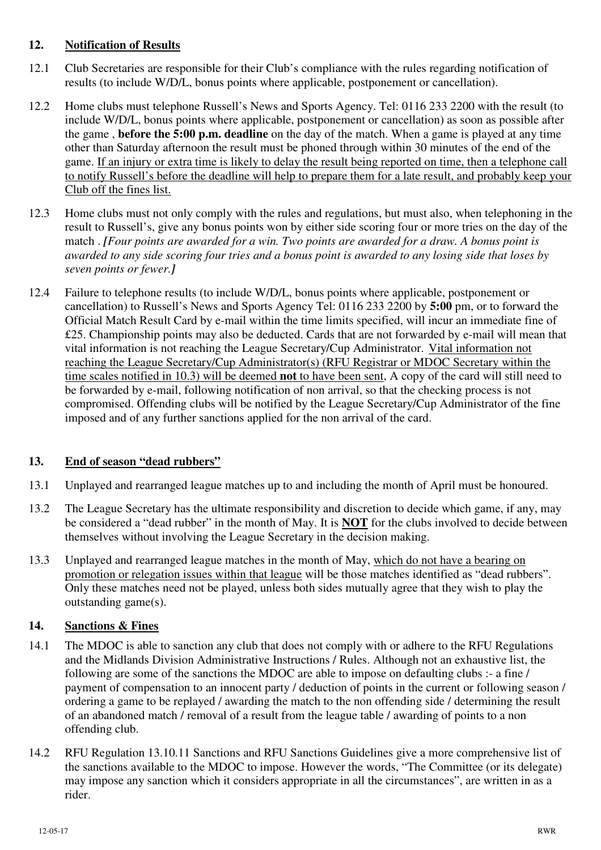#### **12. Notification of Results**

- 12.1 Club Secretaries are responsible for their Club's compliance with the rules regarding notification of results (to include W/D/L, bonus points where applicable, postponement or cancellation).
- 12.2 Home clubs must telephone Russell's News and Sports Agency. Tel: 0116 233 2200 with the result (to include W/D/L, bonus points where applicable, postponement or cancellation) as soon as possible after the game , **before the 5:00 p.m. deadline** on the day of the match. When a game is played at any time other than Saturday afternoon the result must be phoned through within 30 minutes of the end of the game. If an injury or extra time is likely to delay the result being reported on time, then a telephone call to notify Russell's before the deadline will help to prepare them for a late result, and probably keep your Club off the fines list.
- 12.3 Home clubs must not only comply with the rules and regulations, but must also, when telephoning in the result to Russell's, give any bonus points won by either side scoring four or more tries on the day of the match . *[Four points are awarded for a win. Two points are awarded for a draw. A bonus point is awarded to any side scoring four tries and a bonus point is awarded to any losing side that loses by seven points or fewer.]*
- 12.4 Failure to telephone results (to include W/D/L, bonus points where applicable, postponement or cancellation) to Russell's News and Sports Agency Tel: 0116 233 2200 by **5:00** pm, or to forward the Official Match Result Card by e-mail within the time limits specified, will incur an immediate fine of £25. Championship points may also be deducted. Cards that are not forwarded by e-mail will mean that vital information is not reaching the League Secretary/Cup Administrator. Vital information not reaching the League Secretary/Cup Administrator(s) (RFU Registrar or MDOC Secretary within the time scales notified in 10.3) will be deemed **not** to have been sent, A copy of the card will still need to be forwarded by e-mail, following notification of non arrival, so that the checking process is not compromised. Offending clubs will be notified by the League Secretary/Cup Administrator of the fine imposed and of any further sanctions applied for the non arrival of the card.

# **13. End of season "dead rubbers"**

- 13.1 Unplayed and rearranged league matches up to and including the month of April must be honoured.
- 13.2 The League Secretary has the ultimate responsibility and discretion to decide which game, if any, may be considered a "dead rubber" in the month of May. It is **NOT** for the clubs involved to decide between themselves without involving the League Secretary in the decision making.
- 13.3 Unplayed and rearranged league matches in the month of May, which do not have a bearing on promotion or relegation issues within that league will be those matches identified as "dead rubbers". Only these matches need not be played, unless both sides mutually agree that they wish to play the outstanding game(s).

# **14. Sanctions & Fines**

- 14.1 The MDOC is able to sanction any club that does not comply with or adhere to the RFU Regulations and the Midlands Division Administrative Instructions / Rules. Although not an exhaustive list, the following are some of the sanctions the MDOC are able to impose on defaulting clubs :- a fine / payment of compensation to an innocent party / deduction of points in the current or following season / ordering a game to be replayed / awarding the match to the non offending side / determining the result of an abandoned match / removal of a result from the league table / awarding of points to a non offending club.
- 14.2 RFU Regulation 13.10.11 Sanctions and RFU Sanctions Guidelines give a more comprehensive list of the sanctions available to the MDOC to impose. However the words, "The Committee (or its delegate) may impose any sanction which it considers appropriate in all the circumstances", are written in as a rider.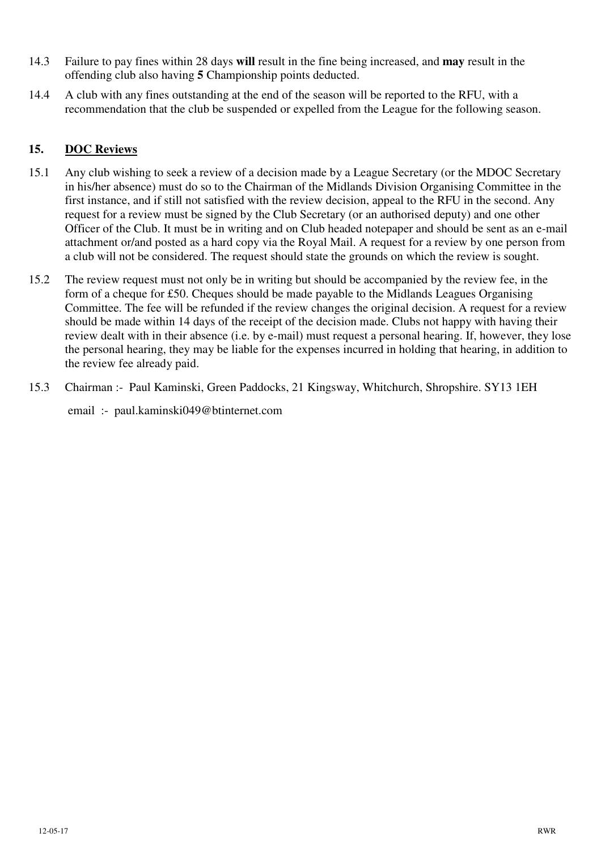- 14.3 Failure to pay fines within 28 days **will** result in the fine being increased, and **may** result in the offending club also having **5** Championship points deducted.
- 14.4 A club with any fines outstanding at the end of the season will be reported to the RFU, with a recommendation that the club be suspended or expelled from the League for the following season.

## **15. DOC Reviews**

- 15.1 Any club wishing to seek a review of a decision made by a League Secretary (or the MDOC Secretary in his/her absence) must do so to the Chairman of the Midlands Division Organising Committee in the first instance, and if still not satisfied with the review decision, appeal to the RFU in the second. Any request for a review must be signed by the Club Secretary (or an authorised deputy) and one other Officer of the Club. It must be in writing and on Club headed notepaper and should be sent as an e-mail attachment or/and posted as a hard copy via the Royal Mail. A request for a review by one person from a club will not be considered. The request should state the grounds on which the review is sought.
- 15.2 The review request must not only be in writing but should be accompanied by the review fee, in the form of a cheque for £50. Cheques should be made payable to the Midlands Leagues Organising Committee. The fee will be refunded if the review changes the original decision. A request for a review should be made within 14 days of the receipt of the decision made. Clubs not happy with having their review dealt with in their absence (i.e. by e-mail) must request a personal hearing. If, however, they lose the personal hearing, they may be liable for the expenses incurred in holding that hearing, in addition to the review fee already paid.
- 15.3 Chairman :- Paul Kaminski, Green Paddocks, 21 Kingsway, Whitchurch, Shropshire. SY13 1EH email :- paul.kaminski049@btinternet.com